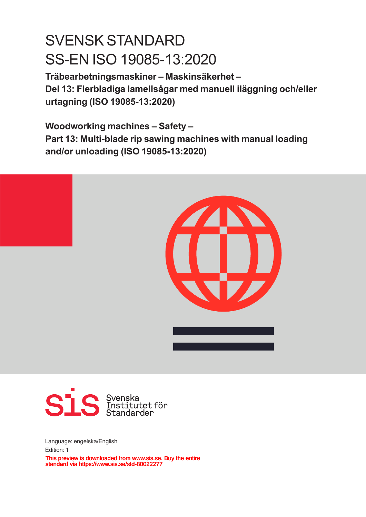# SVENSK STANDARD SS-EN ISO 19085-13:2020

**Träbearbetningsmaskiner – Maskinsäkerhet – Del 13: Flerbladiga lamellsågar med manuell iläggning och/eller urtagning (ISO 19085‑13:2020)**

**Woodworking machines – Safety – Part 13: Multi-blade rip sawing machines with manual loading and/or unloading (ISO 19085‑13:2020)**





Language: engelska/English Edition: 1 This preview is downloaded from www.sis.se. Buy the entire standard via https://www.sis.se/std-80022277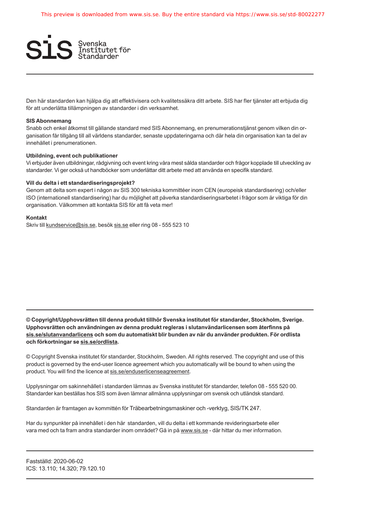

Den här standarden kan hjälpa dig att effektivisera och kvalitetssäkra ditt arbete. SIS har fler tjänster att erbjuda dig för att underlätta tillämpningen av standarder i din verksamhet.

#### **SIS Abonnemang**

Snabb och enkel åtkomst till gällande standard med SIS Abonnemang, en prenumerationstjänst genom vilken din organisation får tillgång till all världens standarder, senaste uppdateringarna och där hela din organisation kan ta del av innehållet i prenumerationen.

#### **Utbildning, event och publikationer**

Vi erbjuder även utbildningar, rådgivning och event kring våra mest sålda standarder och frågor kopplade till utveckling av standarder. Vi ger också ut handböcker som underlättar ditt arbete med att använda en specifik standard.

#### **Vill du delta i ett standardiseringsprojekt?**

Genom att delta som expert i någon av SIS 300 tekniska kommittéer inom CEN (europeisk standardisering) och/eller ISO (internationell standardisering) har du möjlighet att påverka standardiseringsarbetet i frågor som är viktiga för din organisation. Välkommen att kontakta SIS för att få veta mer!

#### **Kontakt**

Skriv till kundservice@sis.se, besök sis.se eller ring 08 - 555 523 10

**© Copyright/Upphovsrätten till denna produkt tillhör Svenska institutet för standarder, Stockholm, Sverige. Upphovsrätten och användningen av denna produkt regleras i slutanvändarlicensen som återfinns på sis.se/slutanvandarlicens och som du automatiskt blir bunden av när du använder produkten. För ordlista och förkortningar se sis.se/ordlista.**

© Copyright Svenska institutet för standarder, Stockholm, Sweden. All rights reserved. The copyright and use of this product is governed by the end-user licence agreement which you automatically will be bound to when using the product. You will find the licence at sis.se/enduserlicenseagreement.

Upplysningar om sakinnehållet i standarden lämnas av Svenska institutet för standarder, telefon 08 - 555 520 00. Standarder kan beställas hos SIS som även lämnar allmänna upplysningar om svensk och utländsk standard.

Standarden är framtagen av kommittén för Träbearbetningsmaskiner och -verktyg, SIS/TK 247.

Har du synpunkter på innehållet i den här standarden, vill du delta i ett kommande revideringsarbete eller vara med och ta fram andra standarder inom området? Gå in på www.sis.se - där hittar du mer information.

Fastställd: 2020-06-02 ICS: 13.110; 14.320; 79.120.10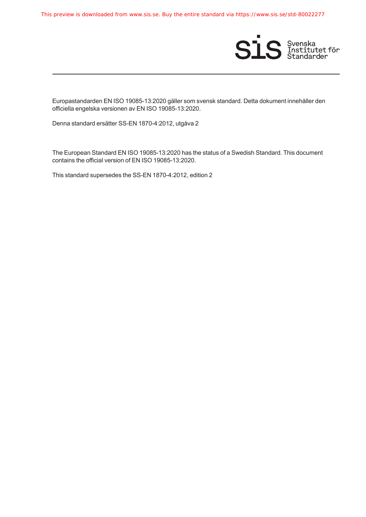This preview is downloaded from www.sis.se. Buy the entire standard via https://www.sis.se/std-80022277



Europastandarden EN ISO 19085-13:2020 gäller som svensk standard. Detta dokument innehåller den officiella engelska versionen av EN ISO 19085-13:2020.

Denna standard ersätter SS-EN 1870-4:2012, utgåva 2

The European Standard EN ISO 19085-13:2020 has the status of a Swedish Standard. This document contains the official version of EN ISO 19085-13:2020.

This standard supersedes the SS-EN 1870-4:2012, edition 2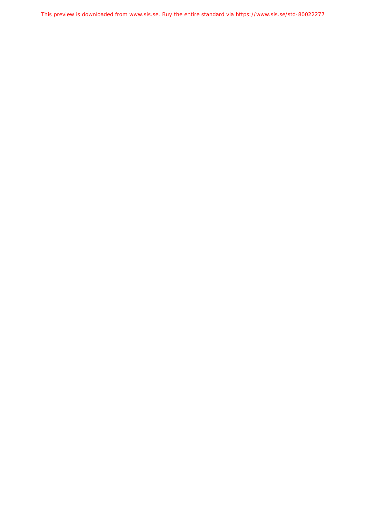This preview is downloaded from www.sis.se. Buy the entire standard via https://www.sis.se/std-80022277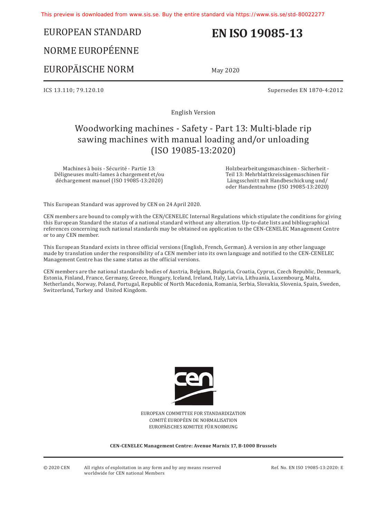#### EUROPEAN STANDARD

# **EN ISO 19085-13**

### NORME EUROPÉENNE

#### EUROPÄISCHE NORM

May 2020

ICS 13.110; 79.120.10 Supersedes EN 1870-4:2012

English Version

#### Woodworking machines - Safety - Part 13: Multi-blade rip sawing machines with manual loading and/or unloading (ISO 19085-13:2020)

Machines à bois - Sécurité - Partie 13: Déligneuses multi-lames à chargement et/ou déchargement manuel (ISO 19085-13:2020)

Holzbearbeitungsmaschinen - Sicherheit - Teil 13: Mehrblattkreissägemaschinen für Längsschnitt mit Handbeschickung und/ oder Handentnahme (ISO 19085-13:2020)

This European Standard was approved by CEN on 24 April 2020.

CEN members are bound to comply with the CEN/CENELEC Internal Regulations which stipulate the conditions for giving this European Standard the status of a national standard without any alteration. Up-to-date lists and bibliographical references concerning such national standards may be obtained on application to the CEN-CENELEC Management Centre or to any CEN member.

This European Standard exists in three official versions (English, French, German). A version in any other language made by translation under the responsibility of a CEN member into its own language and notified to the CEN-CENELEC Management Centre has the same status as the official versions.

CEN members are the national standards bodies of Austria, Belgium, Bulgaria, Croatia, Cyprus, Czech Republic, Denmark, Estonia, Finland, France, Germany, Greece, Hungary, Iceland, Ireland, Italy, Latvia, Lithuania, Luxembourg, Malta, Netherlands, Norway, Poland, Portugal, Republic of North Macedonia, Romania, Serbia, Slovakia, Slovenia, Spain, Sweden, Switzerland, Turkey and United Kingdom.



EUROPEAN COMMITTEE FOR STANDARDIZATION COMITÉ EUROPÉEN DE NORMALISATION EUROPÄISCHES KOMITEE FÜR NORMUNG

**CEN-CENELEC Management Centre: Avenue Marnix 17, B-1000 Brussels**

© 2020 CEN All rights of exploitation in any form and by any means reserved Ref. No. EN ISO 19085-13:2020: E worldwide for CEN national Members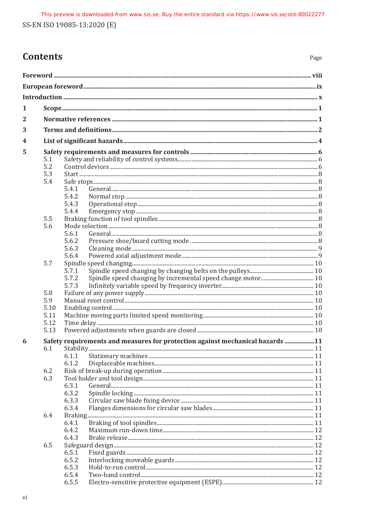## **Contents**

| 1<br>2<br>3<br>4<br>5<br>5.1<br>5.2<br>5.3<br>5.4<br>5.4.1<br>5.4.2<br>5.4.3<br>5.4.4<br>5.5<br>5.6<br>5.6.1 |
|--------------------------------------------------------------------------------------------------------------|
|                                                                                                              |
|                                                                                                              |
|                                                                                                              |
|                                                                                                              |
|                                                                                                              |
|                                                                                                              |
|                                                                                                              |
|                                                                                                              |
|                                                                                                              |
|                                                                                                              |
|                                                                                                              |
|                                                                                                              |
|                                                                                                              |
|                                                                                                              |
|                                                                                                              |
|                                                                                                              |
|                                                                                                              |
|                                                                                                              |
| 5.6.2                                                                                                        |
| 5.6.3                                                                                                        |
| 5.6.4                                                                                                        |
| 5.7                                                                                                          |
| 5.7.1                                                                                                        |
| 5.7.2                                                                                                        |
| 5.7.3                                                                                                        |
| 5.8                                                                                                          |
| 5.9                                                                                                          |
| 5.10                                                                                                         |
| 5.11                                                                                                         |
| 5.12                                                                                                         |
| 5.13                                                                                                         |
| Safety requirements and measures for protection against mechanical hazards<br>.11<br>6                       |
| 6.1                                                                                                          |
| 6.1.1                                                                                                        |
| 6.1.2                                                                                                        |
| 6.2                                                                                                          |
| 6.3<br>6.3.1                                                                                                 |
| 6.3.2                                                                                                        |
| 6.3.3                                                                                                        |
| 6.3.4                                                                                                        |
| 6.4                                                                                                          |
| 6.4.1                                                                                                        |
| 6.4.2                                                                                                        |
| 6.4.3                                                                                                        |
| 6.5                                                                                                          |
| 6.5.1                                                                                                        |
| 6.5.2                                                                                                        |
| 6.5.3                                                                                                        |
| 6.5.4                                                                                                        |
| 6.5.5                                                                                                        |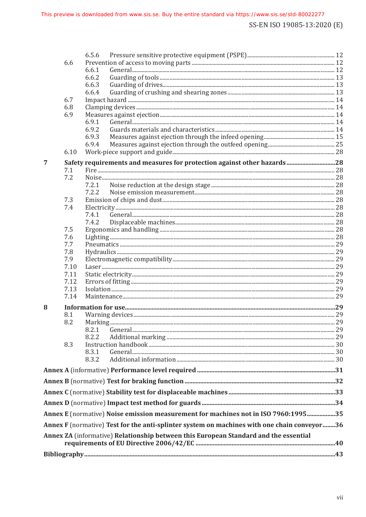| 6.6<br>6.6.1<br>6.6.2<br>6.6.3<br>6.6.4<br>6.7<br>6.8<br>6.9<br>6.9.1<br>6.9.2<br>6.9.3<br>6.9.4<br>6.10<br>7<br>7.1<br>7.2<br>7.2.1<br>7.2.2<br>7.3<br>7.4<br>7.4.1<br>7.4.2<br>7.5<br>7.6<br>7.7<br>7.8<br>7.9<br>7.10<br>7.11<br>7.12<br>7.13<br>7.14<br>8.1<br>Marking<br>8.2<br>8.2.1<br>8.2.2<br>8.3<br>8.3.1<br>8.3.2<br>Annex E (normative) Noise emission measurement for machines not in ISO 7960:199535<br>Annex F (normative) Test for the anti-splinter system on machines with one chain conveyor36<br>Annex ZA (informative) Relationship between this European Standard and the essential |   |       |  |
|-----------------------------------------------------------------------------------------------------------------------------------------------------------------------------------------------------------------------------------------------------------------------------------------------------------------------------------------------------------------------------------------------------------------------------------------------------------------------------------------------------------------------------------------------------------------------------------------------------------|---|-------|--|
|                                                                                                                                                                                                                                                                                                                                                                                                                                                                                                                                                                                                           |   |       |  |
|                                                                                                                                                                                                                                                                                                                                                                                                                                                                                                                                                                                                           |   |       |  |
|                                                                                                                                                                                                                                                                                                                                                                                                                                                                                                                                                                                                           |   |       |  |
|                                                                                                                                                                                                                                                                                                                                                                                                                                                                                                                                                                                                           |   |       |  |
|                                                                                                                                                                                                                                                                                                                                                                                                                                                                                                                                                                                                           |   |       |  |
|                                                                                                                                                                                                                                                                                                                                                                                                                                                                                                                                                                                                           |   |       |  |
|                                                                                                                                                                                                                                                                                                                                                                                                                                                                                                                                                                                                           |   |       |  |
|                                                                                                                                                                                                                                                                                                                                                                                                                                                                                                                                                                                                           |   |       |  |
|                                                                                                                                                                                                                                                                                                                                                                                                                                                                                                                                                                                                           |   |       |  |
| Safety requirements and measures for protection against other hazards28<br>.29                                                                                                                                                                                                                                                                                                                                                                                                                                                                                                                            |   |       |  |
|                                                                                                                                                                                                                                                                                                                                                                                                                                                                                                                                                                                                           |   |       |  |
|                                                                                                                                                                                                                                                                                                                                                                                                                                                                                                                                                                                                           |   |       |  |
|                                                                                                                                                                                                                                                                                                                                                                                                                                                                                                                                                                                                           |   |       |  |
|                                                                                                                                                                                                                                                                                                                                                                                                                                                                                                                                                                                                           |   |       |  |
|                                                                                                                                                                                                                                                                                                                                                                                                                                                                                                                                                                                                           | 8 |       |  |
|                                                                                                                                                                                                                                                                                                                                                                                                                                                                                                                                                                                                           |   |       |  |
|                                                                                                                                                                                                                                                                                                                                                                                                                                                                                                                                                                                                           |   |       |  |
|                                                                                                                                                                                                                                                                                                                                                                                                                                                                                                                                                                                                           |   |       |  |
|                                                                                                                                                                                                                                                                                                                                                                                                                                                                                                                                                                                                           |   |       |  |
|                                                                                                                                                                                                                                                                                                                                                                                                                                                                                                                                                                                                           |   |       |  |
|                                                                                                                                                                                                                                                                                                                                                                                                                                                                                                                                                                                                           |   |       |  |
|                                                                                                                                                                                                                                                                                                                                                                                                                                                                                                                                                                                                           |   |       |  |
|                                                                                                                                                                                                                                                                                                                                                                                                                                                                                                                                                                                                           |   |       |  |
|                                                                                                                                                                                                                                                                                                                                                                                                                                                                                                                                                                                                           |   |       |  |
|                                                                                                                                                                                                                                                                                                                                                                                                                                                                                                                                                                                                           |   |       |  |
|                                                                                                                                                                                                                                                                                                                                                                                                                                                                                                                                                                                                           |   |       |  |
|                                                                                                                                                                                                                                                                                                                                                                                                                                                                                                                                                                                                           |   |       |  |
|                                                                                                                                                                                                                                                                                                                                                                                                                                                                                                                                                                                                           |   |       |  |
|                                                                                                                                                                                                                                                                                                                                                                                                                                                                                                                                                                                                           |   |       |  |
|                                                                                                                                                                                                                                                                                                                                                                                                                                                                                                                                                                                                           |   |       |  |
|                                                                                                                                                                                                                                                                                                                                                                                                                                                                                                                                                                                                           |   |       |  |
|                                                                                                                                                                                                                                                                                                                                                                                                                                                                                                                                                                                                           |   |       |  |
|                                                                                                                                                                                                                                                                                                                                                                                                                                                                                                                                                                                                           |   |       |  |
|                                                                                                                                                                                                                                                                                                                                                                                                                                                                                                                                                                                                           |   |       |  |
|                                                                                                                                                                                                                                                                                                                                                                                                                                                                                                                                                                                                           |   |       |  |
|                                                                                                                                                                                                                                                                                                                                                                                                                                                                                                                                                                                                           |   |       |  |
|                                                                                                                                                                                                                                                                                                                                                                                                                                                                                                                                                                                                           |   |       |  |
|                                                                                                                                                                                                                                                                                                                                                                                                                                                                                                                                                                                                           |   |       |  |
|                                                                                                                                                                                                                                                                                                                                                                                                                                                                                                                                                                                                           |   |       |  |
|                                                                                                                                                                                                                                                                                                                                                                                                                                                                                                                                                                                                           |   |       |  |
|                                                                                                                                                                                                                                                                                                                                                                                                                                                                                                                                                                                                           |   |       |  |
|                                                                                                                                                                                                                                                                                                                                                                                                                                                                                                                                                                                                           |   |       |  |
|                                                                                                                                                                                                                                                                                                                                                                                                                                                                                                                                                                                                           |   |       |  |
|                                                                                                                                                                                                                                                                                                                                                                                                                                                                                                                                                                                                           |   |       |  |
|                                                                                                                                                                                                                                                                                                                                                                                                                                                                                                                                                                                                           |   | 6.5.6 |  |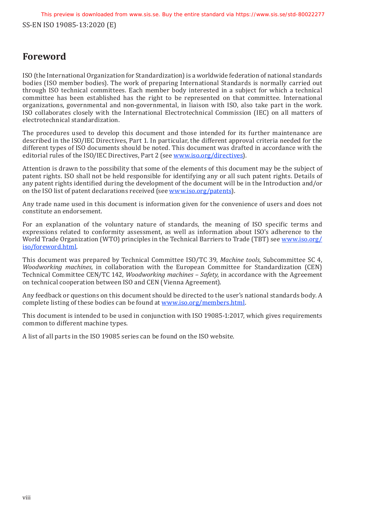### **Foreword**

ISO (the International Organization for Standardization) is a worldwide federation of national standards bodies (ISO member bodies). The work of preparing International Standards is normally carried out through ISO technical committees. Each member body interested in a subject for which a technical committee has been established has the right to be represented on that committee. International organizations, governmental and non-governmental, in liaison with ISO, also take part in the work. ISO collaborates closely with the International Electrotechnical Commission (IEC) on all matters of electrotechnical standardization.

The procedures used to develop this document and those intended for its further maintenance are described in the ISO/IEC Directives, Part 1. In particular, the different approval criteria needed for the different types of ISO documents should be noted. This document was drafted in accordance with the editorial rules of the ISO/IEC Directives, Part 2 (see [www.iso.org/directives\)](https://www.iso.org/directives-and-policies.html).

Attention is drawn to the possibility that some of the elements of this document may be the subject of patent rights. ISO shall not be held responsible for identifying any or all such patent rights. Details of any patent rights identified during the development of the document will be in the Introduction and/or on the ISO list of patent declarations received (see [www.iso.org/patents](https://www.iso.org/iso-standards-and-patents.html)).

Any trade name used in this document is information given for the convenience of users and does not constitute an endorsement.

For an explanation of the voluntary nature of standards, the meaning of ISO specific terms and expressions related to conformity assessment, as well as information about ISO's adherence to the World Trade Organization (WTO) principles in the Technical Barriers to Trade (TBT) see [www.iso.org/](https://www.iso.org/foreword-supplementary-information.html) [iso/foreword.html.](https://www.iso.org/foreword-supplementary-information.html)

This document was prepared by Technical Committee ISO/TC 39, *Machine tools*, Subcommittee SC 4, *Woodworking machines,* in collaboration with the European Committee for Standardization (CEN) Technical Committee CEN/TC 142, *Woodworking machines – Safety,* in accordance with the Agreement on technical cooperation between ISO and CEN (Vienna Agreement).

Any feedback or questions on this document should be directed to the user's national standards body. A complete listing of these bodies can be found at [www.iso.org/members.html.](https://www.iso.org/members.html)

This document is intended to be used in conjunction with ISO 19085-1:2017, which gives requirements common to different machine types.

A list of all parts in the ISO 19085 series can be found on the ISO website.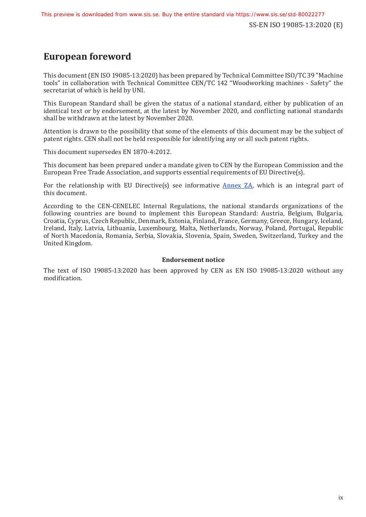### **European foreword**

This document (EN ISO 19085-13:2020) has been prepared by Technical Committee ISO/TC 39 "Machine tools" in collaboration with Technical Committee CEN/TC 142 "Woodworking machines - Safety" the secretariat of which is held by UNI.

This European Standard shall be given the status of a national standard, either by publication of an identical text or by endorsement, at the latest by November 2020, and conflicting national standards shall be withdrawn at the latest by November 2020.

Attention is drawn to the possibility that some of the elements of this document may be the subject of patent rights. CEN shall not be held responsible for identifying any or all such patent rights.

This document supersedes EN 1870-4:2012.

This document has been prepared under a mandate given to CEN by the European Commission and the European Free Trade Association, and supports essential requirements of EU Directive(s).

For the relationship with EU Directive(s) see informative Annex ZA, which is an integral part of this document.

According to the CEN-CENELEC Internal Regulations, the national standards organizations of the following countries are bound to implement this European Standard: Austria, Belgium, Bulgaria, Croatia, Cyprus, Czech Republic, Denmark, Estonia, Finland, France, Germany, Greece, Hungary, Iceland, Ireland, Italy, Latvia, Lithuania, Luxembourg, Malta, Netherlands, Norway, Poland, Portugal, Republic of North Macedonia, Romania, Serbia, Slovakia, Slovenia, Spain, Sweden, Switzerland, Turkey and the United Kingdom.

#### **Endorsement notice**

The text of ISO 19085-13:2020 has been approved by CEN as EN ISO 19085-13:2020 without any modification.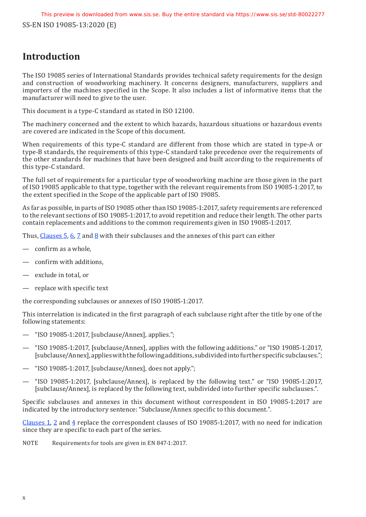### **Introduction**

The ISO 19085 series of International Standards provides technical safety requirements for the design and construction of woodworking machinery. It concerns designers, manufacturers, suppliers and importers of the machines specified in the Scope. It also includes a list of informative items that the manufacturer will need to give to the user.

This document is a type-C standard as stated in ISO 12100.

The machinery concerned and the extent to which hazards, hazardous situations or hazardous events are covered are indicated in the Scope of this document.

When requirements of this type-C standard are different from those which are stated in type-A or type-B standards, the requirements of this type-C standard take precedence over the requirements of the other standards for machines that have been designed and built according to the requirements of this type-C standard.

The full set of requirements for a particular type of woodworking machine are those given in the part of ISO 19085 applicable to that type, together with the relevant requirements from ISO 19085-1:2017, to the extent specified in the Scope of the applicable part of ISO 19085.

As far as possible, in parts of ISO 19085 other than ISO 19085-1:2017, safety requirements are referenced to the relevant sections of ISO 19085-1:2017, to avoid repetition and reduce their length. The other parts contain replacements and additions to the common requirements given in ISO 19085-1:2017.

Thus, Clauses 5, 6, 7 and 8 with their subclauses and the annexes of this part can either

- confirm as a whole,
- confirm with additions,
- exclude in total, or
- replace with specific text

the corresponding subclauses or annexes of ISO 19085-1:2017.

This interrelation is indicated in the first paragraph of each subclause right after the title by one of the following statements:

- "ISO 19085‑1:2017, [subclause/Annex], applies.";
- "ISO 19085-1:2017, [subclause/Annex], applies with the following additions." or "ISO 19085-1:2017, [subclause/Annex], applies with the following additions, subdivided into further specific subclauses.";
- "ISO 19085-1:2017, [subclause/Annex], does not apply.";
- "ISO 19085-1:2017, [subclause/Annex], is replaced by the following text." or "ISO 19085-1:2017, [subclause/Annex], is replaced by the following text, subdivided into further specific subclauses.".

Specific subclauses and annexes in this document without correspondent in ISO 19085-1:2017 are indicated by the introductory sentence: "Subclause/Annex specific to this document.".

Clauses 1, 2 and 4 replace the correspondent clauses of ISO 19085-1:2017, with no need for indication since they are specific to each part of the series.

NOTE Requirements for tools are given in EN 847-1:2017.